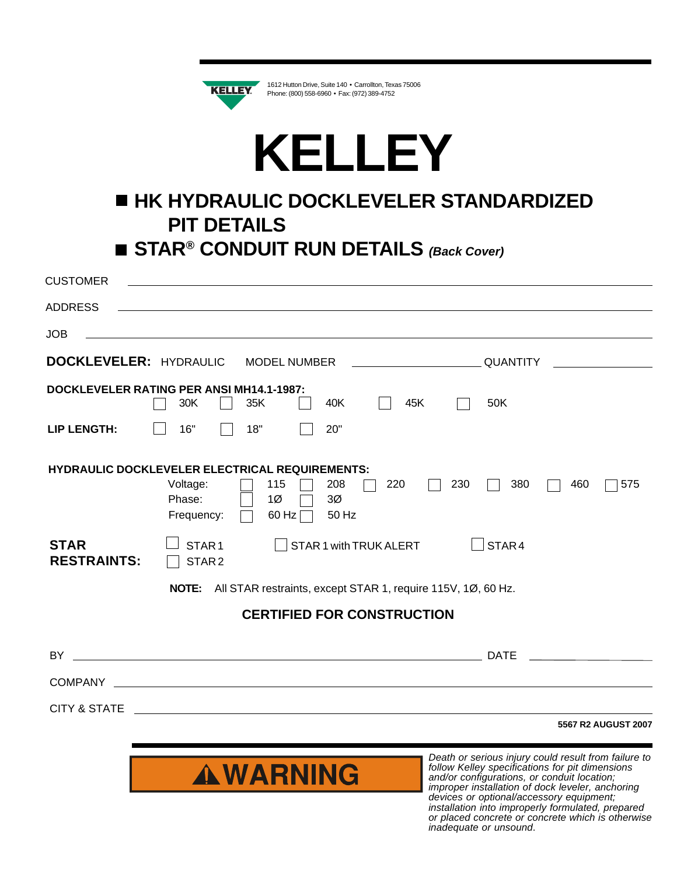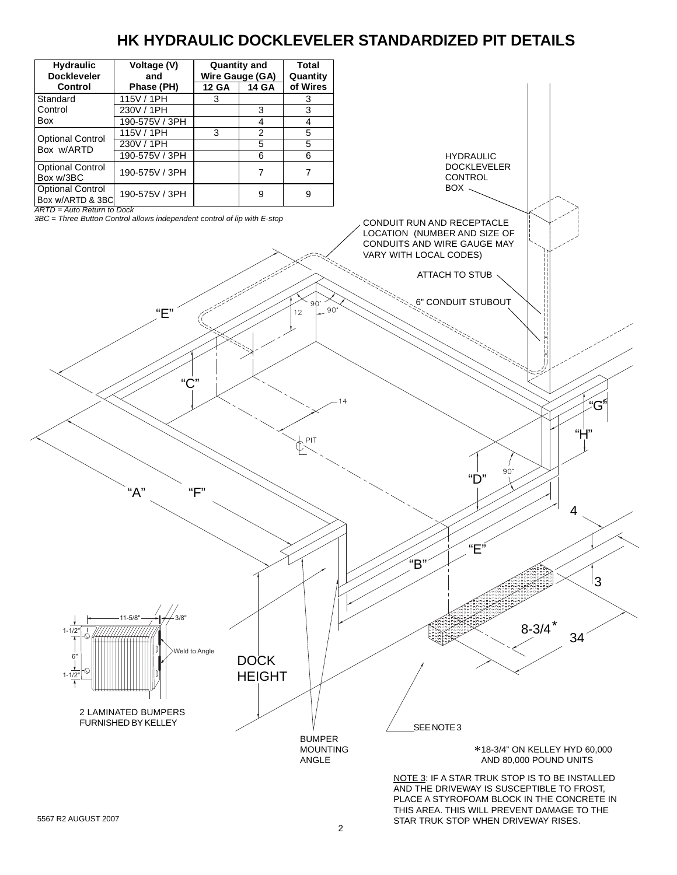# **HK HYDRAULIC DOCKLEVELER STANDARDIZED PIT DETAILS**



5567 R2 AUGUST 2007

STAR TRUK STOP WHEN DRIVEWAY RISES.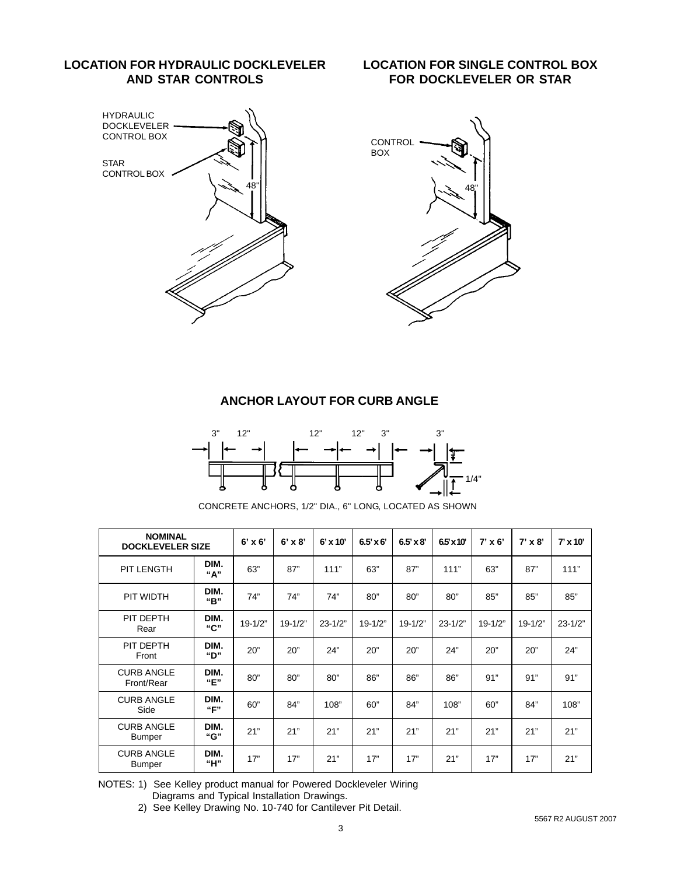### **LOCATION FOR HYDRAULIC DOCKLEVELER AND STAR CONTROLS**

#### **LOCATION FOR SINGLE CONTROL BOX FOR DOCKLEVELER OR STAR**



## **ANCHOR LAYOUT FOR CURB ANGLE**



CONCRETE ANCHORS, 1/2" DIA., 6" LONG, LOCATED AS SHOWN

| <b>NOMINAL</b><br><b>DOCKLEVELER SIZE</b> |             | $6' \times 6'$ | $6' \times 8'$ | $6' \times 10'$ | $6.5' \times 6'$ | $6.5' \times 8'$ | 65 x 10     | $7' \times 6'$ | $7' \times 8'$ | $7' \times 10'$ |
|-------------------------------------------|-------------|----------------|----------------|-----------------|------------------|------------------|-------------|----------------|----------------|-----------------|
| <b>PIT LENGTH</b>                         | DIM.<br>"А" | 63"            | 87"            | 111"            | 63"              | 87"              | 111"        | 63"            | 87"            | 111"            |
| PIT WIDTH                                 | DIM.<br>"В" | 74"            | 74"            | 74"             | 80"              | 80"              | 80"         | 85"            | 85"            | 85"             |
| PIT DEPTH<br>Rear                         | DIM.<br>"С" | $19 - 1/2"$    | $19 - 1/2"$    | $23 - 1/2"$     | $19 - 1/2"$      | $19 - 1/2"$      | $23 - 1/2"$ | $19 - 1/2"$    | $19 - 1/2"$    | $23 - 1/2"$     |
| PIT DEPTH<br>Front                        | DIM.<br>"D" | 20"            | 20"            | 24"             | 20"              | 20"              | 24"         | 20"            | 20"            | 24"             |
| <b>CURB ANGLE</b><br>Front/Rear           | DIM.<br>"E" | 80"            | 80"            | 80"             | 86"              | 86"              | 86"         | 91"            | 91"            | 91"             |
| <b>CURB ANGLE</b><br>Side                 | DIM.<br>"F" | 60"            | 84"            | 108"            | 60"              | 84"              | 108"        | 60"            | 84"            | 108"            |
| <b>CURB ANGLE</b><br><b>Bumper</b>        | DIM.<br>"G" | 21"            | 21"            | 21"             | 21"              | 21"              | 21"         | 21"            | 21"            | 21"             |
| <b>CURB ANGLE</b><br><b>Bumper</b>        | DIM.<br>"Н" | 17"            | 17"            | 21"             | 17"              | 17"              | 21"         | 17"            | 17"            | 21"             |

NOTES: 1) See Kelley product manual for Powered Dockleveler Wiring

Diagrams and Typical Installation Drawings.

2) See Kelley Drawing No. 10-740 for Cantilever Pit Detail.